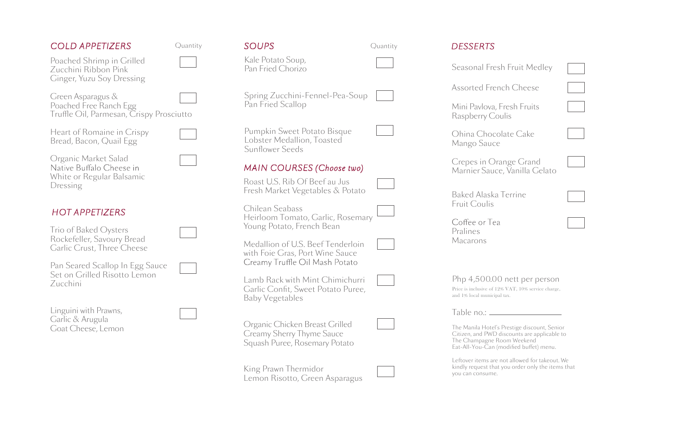## *COLD APPETIZERS*

Poached Shrimp in Grilled Zucchini Ribbon Pink Ginger, Yuzu Soy Dressing

Green Asparagus & Poached Free Ranch Egg Truffle Oil, Parmesan, Crispy Prosciutto

Heart of Romaine in Crispy Bread, Bacon, Quail Egg

Organic Market Salad White or Regular Balsamic Dressing

## *HOT APPETIZERS*

Trio of Baked Oysters Rockefeller, Savoury Bread Garlic Crust, Three Cheese

Pan Seared Scallop In Egg Sauce Set on Grilled Risotto Lemon Zucchini

Linguini with Prawns, Garlic & Arugula Goat Cheese, Lemon

| <b>SOUPS</b>                           |  |
|----------------------------------------|--|
| Kale Potato Soup,<br>Pan Fried Chorizo |  |

Quantity *SOUPS*

Spring Zucchini-Fennel-Pea-Soup Pan Fried Scallop

Quantity

Pumpkin Sweet Potato Bisque Lobster Medallion, Toasted Sunflower Seeds

## *MAIN COURSES (Choose two)*

Roast U.S. Rib Of Beef au Jus Fresh Market Vegetables & Potato

Chilean Seabass Heirloom Tomato, Garlic, Rosemary Young Potato, French Bean

Medallion of U.S. Beef Tenderloin with Foie Gras, Port Wine Sauce<br>Creamy Truffle Oil Mash Potato

Lamb Rack with Mint Chimichurri Garlic Confit, Sweet Potato Puree, Baby Vegetables

Organic Chicken Breast Grilled Creamy Sherry Thyme Sauce Squash Puree, Rosemary Potato

King Prawn Thermidor Lemon Risotto, Green Asparagus

| <b>DESSERTS</b>                                                                                                                                                       |  |
|-----------------------------------------------------------------------------------------------------------------------------------------------------------------------|--|
| Seasonal Fresh Fruit Medley                                                                                                                                           |  |
| <b>Assorted French Cheese</b>                                                                                                                                         |  |
| Mini Pavlova, Fresh Fruits<br>Raspberry Coulis                                                                                                                        |  |
| Ohina Chocolate Cake<br>Mango Sauce                                                                                                                                   |  |
| Crepes in Orange Grand<br>Marnier Sauce, Vanilla Gelato                                                                                                               |  |
| Baked Alaska Terrine<br>Fruit Coulis                                                                                                                                  |  |
| Coffee or Tea<br>Pralines<br>Macarons                                                                                                                                 |  |
| Php 4,500.00 nett per person<br>Price is inclusive of 12% VAT, 10% service charge,<br>and 1% local municipal tax.                                                     |  |
| Table no.: _                                                                                                                                                          |  |
| The Manila Hotel's Prestige discount, Senior<br>Citizen, and PWD discounts are applicable to<br>The Champagne Room Weekend<br>Eat-All-You-Can (modified buffet) menu. |  |
| Leftover items are not allowed for takeout. We<br>kindly request that you order only the items that<br>vou can consume.                                               |  |